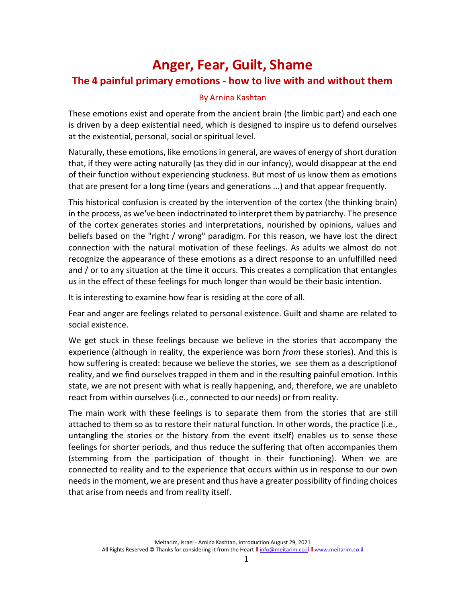# Anger, Fear, Guilt, Shame The 4 painful primary emotions - how to live with and without them

#### By Arnina Kashtan

These emotions exist and operate from the ancient brain (the limbic part) and each one is driven by a deep existential need, which is designed to inspire us to defend ourselves at the existential, personal, social or spiritual level.

Naturally, these emotions, like emotions in general, are waves of energy of short duration that, if they were acting naturally (as they did in our infancy), would disappear at the end of their function without experiencing stuckness. But most of us know them as emotions that are present for a long time (years and generations ...) and that appear frequently.

This historical confusion is created by the intervention of the cortex (the thinking brain) in the process, as we've been indoctrinated to interpret them by patriarchy. The presence of the cortex generates stories and interpretations, nourished by opinions, values and beliefs based on the "right / wrong" paradigm. For this reason, we have lost the direct connection with the natural motivation of these feelings. As adults we almost do not recognize the appearance of these emotions as a direct response to an unfulfilled need and / or to any situation at the time it occurs. This creates a complication that entangles us in the effect of these feelings for much longer than would be their basic intention.

It is interesting to examine how fear is residing at the core of all.

Fear and anger are feelings related to personal existence. Guilt and shame are related to social existence.

We get stuck in these feelings because we believe in the stories that accompany the experience (although in reality, the experience was born from these stories). And this is how suffering is created: because we believe the stories, we see them as a description of reality, and we find ourselves trapped in them and in the resulting painful emotion. In this state, we are not present with what is really happening, and, therefore, we are unableto react from within ourselves (i.e., connected to our needs) or from reality.

The main work with these feelings is to separate them from the stories that are still attached to them so as to restore their natural function. In other words, the practice (i.e., untangling the stories or the history from the event itself) enables us to sense these feelings for shorter periods, and thus reduce the suffering that often accompanies them (stemming from the participation of thought in their functioning). When we are connected to reality and to the experience that occurs within us in response to our own needs in the moment, we are present and thus have a greater possibility of finding choices that arise from needs and from reality itself.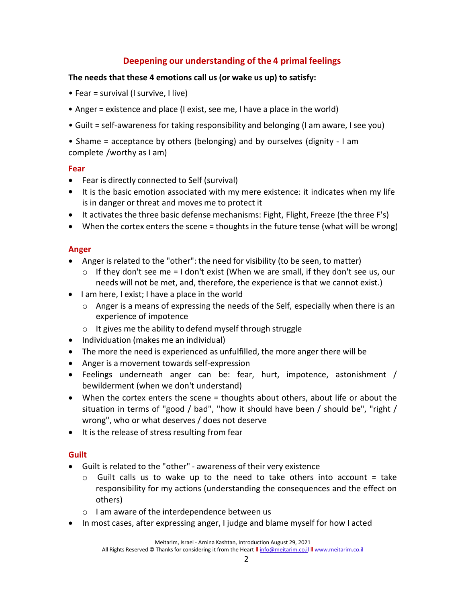# Deepening our understanding of the 4 primal feelings

# The needs that these 4 emotions call us (or wake us up) to satisfy:

- Fear = survival (I survive, I live)
- Anger = existence and place (I exist, see me, I have a place in the world)
- Guilt = self-awareness for taking responsibility and belonging (I am aware, I see you)

• Shame = acceptance by others (belonging) and by ourselves (dignity - I am complete /worthy as I am)

#### Fear

- Fear is directly connected to Self (survival)
- It is the basic emotion associated with my mere existence: it indicates when my life is in danger or threat and moves me to protect it
- It activates the three basic defense mechanisms: Fight, Flight, Freeze (the three F's)
- When the cortex enters the scene = thoughts in the future tense (what will be wrong)

# Anger

- Anger is related to the "other": the need for visibility (to be seen, to matter)
	- $\circ$  If they don't see me = I don't exist (When we are small, if they don't see us, our needs will not be met, and, therefore, the experience is that we cannot exist.)
- I am here, I exist; I have a place in the world
	- o Anger is a means of expressing the needs of the Self, especially when there is an experience of impotence
	- $\circ$  It gives me the ability to defend myself through struggle
- Individuation (makes me an individual)
- The more the need is experienced as unfulfilled, the more anger there will be
- Anger is a movement towards self-expression
- Feelings underneath anger can be: fear, hurt, impotence, astonishment / bewilderment (when we don't understand)
- When the cortex enters the scene = thoughts about others, about life or about the situation in terms of "good / bad", "how it should have been / should be", "right / wrong", who or what deserves / does not deserve
- It is the release of stress resulting from fear

# **Guilt**

- Guilt is related to the "other" awareness of their very existence
	- $\circ$  Guilt calls us to wake up to the need to take others into account = take responsibility for my actions (understanding the consequences and the effect on others)
	- o I am aware of the interdependence between us
- In most cases, after expressing anger, I judge and blame myself for how I acted